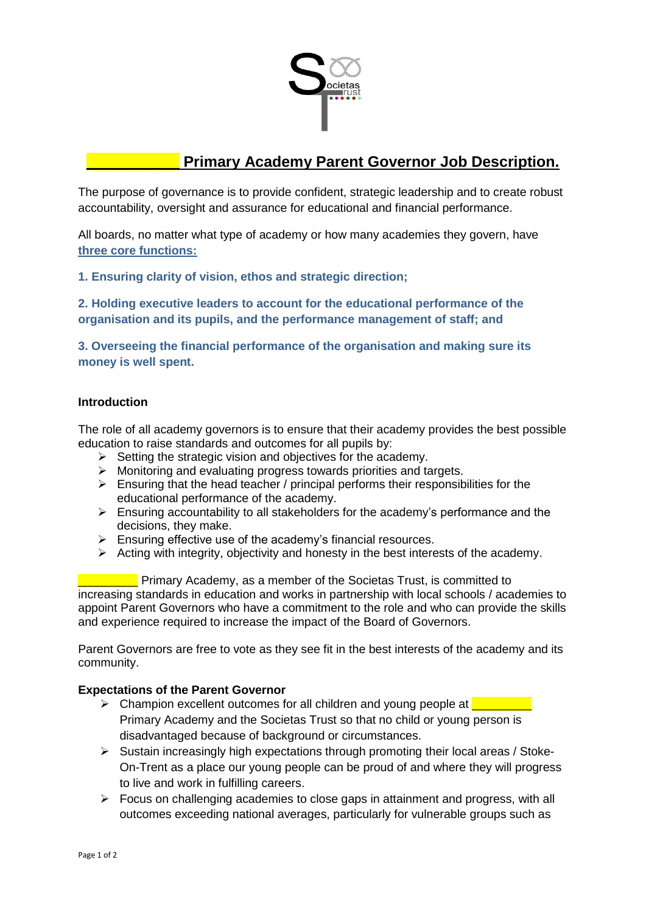

## **\_\_\_\_\_\_\_\_\_\_\_ Primary Academy Parent Governor Job Description.**

The purpose of governance is to provide confident, strategic leadership and to create robust accountability, oversight and assurance for educational and financial performance.

All boards, no matter what type of academy or how many academies they govern, have **three core functions:**

**1. Ensuring clarity of vision, ethos and strategic direction;** 

**2. Holding executive leaders to account for the educational performance of the organisation and its pupils, and the performance management of staff; and** 

**3. Overseeing the financial performance of the organisation and making sure its money is well spent.** 

## **Introduction**

The role of all academy governors is to ensure that their academy provides the best possible education to raise standards and outcomes for all pupils by:

- $\triangleright$  Setting the strategic vision and objectives for the academy.
- $\triangleright$  Monitoring and evaluating progress towards priorities and targets.
- $\triangleright$  Ensuring that the head teacher / principal performs their responsibilities for the educational performance of the academy.
- $\triangleright$  Ensuring accountability to all stakeholders for the academy's performance and the decisions, they make.
- $\triangleright$  Ensuring effective use of the academy's financial resources.
- $\triangleright$  Acting with integrity, objectivity and honesty in the best interests of the academy.

 $\blacksquare$  Primary Academy, as a member of the Societas Trust, is committed to increasing standards in education and works in partnership with local schools / academies to appoint Parent Governors who have a commitment to the role and who can provide the skills and experience required to increase the impact of the Board of Governors.

Parent Governors are free to vote as they see fit in the best interests of the academy and its community.

## **Expectations of the Parent Governor**

- $\triangleright$  Champion excellent outcomes for all children and young people at  $\blacksquare$ Primary Academy and the Societas Trust so that no child or young person is disadvantaged because of background or circumstances.
- $\triangleright$  Sustain increasingly high expectations through promoting their local areas / Stoke-On-Trent as a place our young people can be proud of and where they will progress to live and work in fulfilling careers.
- $\triangleright$  Focus on challenging academies to close gaps in attainment and progress, with all outcomes exceeding national averages, particularly for vulnerable groups such as